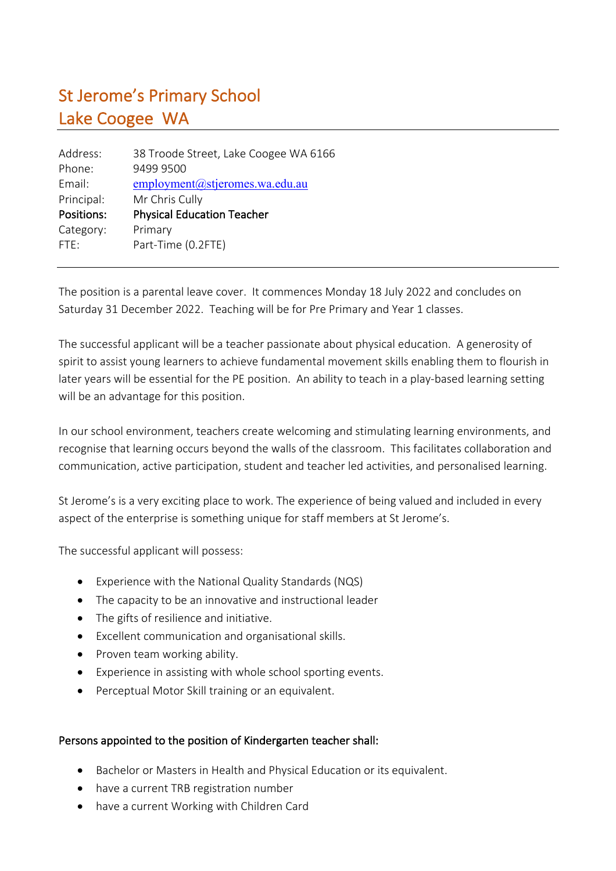## St Jerome's Primary School Lake Coogee WA

| 38 Troode Street, Lake Coogee WA 6166 |
|---------------------------------------|
| 9499 9500                             |
| employment@stjeromes.wa.edu.au        |
| Mr Chris Cully                        |
| <b>Physical Education Teacher</b>     |
| Primary                               |
| Part-Time (0.2FTE)                    |
|                                       |

The position is a parental leave cover. It commences Monday 18 July 2022 and concludes on Saturday 31 December 2022. Teaching will be for Pre Primary and Year 1 classes.

The successful applicant will be a teacher passionate about physical education. A generosity of spirit to assist young learners to achieve fundamental movement skills enabling them to flourish in later years will be essential for the PE position. An ability to teach in a play-based learning setting will be an advantage for this position.

In our school environment, teachers create welcoming and stimulating learning environments, and recognise that learning occurs beyond the walls of the classroom. This facilitates collaboration and communication, active participation, student and teacher led activities, and personalised learning.

St Jerome's is a very exciting place to work. The experience of being valued and included in every aspect of the enterprise is something unique for staff members at St Jerome's.

The successful applicant will possess:

- Experience with the National Quality Standards (NQS)
- The capacity to be an innovative and instructional leader
- The gifts of resilience and initiative.
- Excellent communication and organisational skills.
- Proven team working ability.
- Experience in assisting with whole school sporting events.
- Perceptual Motor Skill training or an equivalent.

## Persons appointed to the position of Kindergarten teacher shall:

- Bachelor or Masters in Health and Physical Education or its equivalent.
- have a current TRB registration number
- have a current Working with Children Card